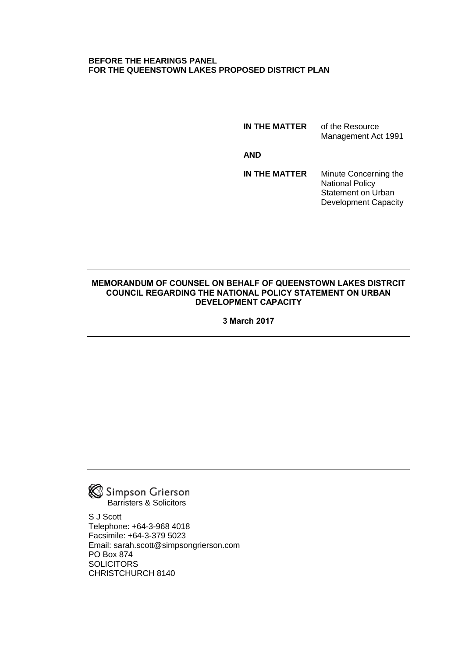### **BEFORE THE HEARINGS PANEL FOR THE QUEENSTOWN LAKES PROPOSED DISTRICT PLAN**

**IN THE MATTER** of the Resource Management Act 1991

**AND**

**IN THE MATTER** Minute Concerning the National Policy Statement on Urban Development Capacity

#### **MEMORANDUM OF COUNSEL ON BEHALF OF QUEENSTOWN LAKES DISTRCIT COUNCIL REGARDING THE NATIONAL POLICY STATEMENT ON URBAN DEVELOPMENT CAPACITY**

**3 March 2017**



S J Scott Telephone: +64-3-968 4018 Facsimile: +64-3-379 5023 Email: sarah.scott@simpsongrierson.com PO Box 874 **SOLICITORS** CHRISTCHURCH 8140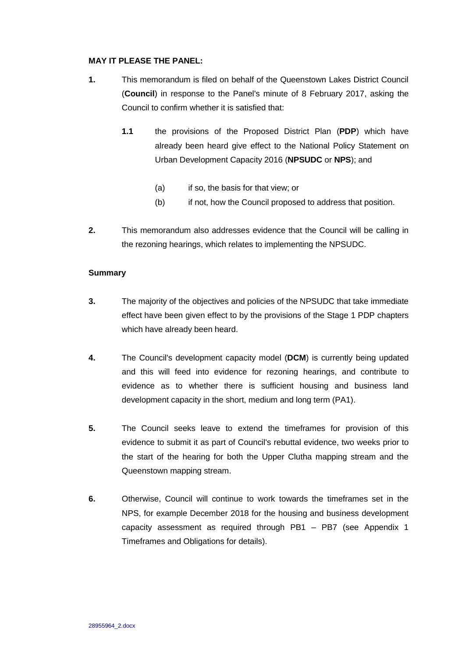### **MAY IT PLEASE THE PANEL:**

- **1.** This memorandum is filed on behalf of the Queenstown Lakes District Council (**Council**) in response to the Panel's minute of 8 February 2017, asking the Council to confirm whether it is satisfied that:
	- **1.1** the provisions of the Proposed District Plan (**PDP**) which have already been heard give effect to the National Policy Statement on Urban Development Capacity 2016 (**NPSUDC** or **NPS**); and
		- (a) if so, the basis for that view; or
		- (b) if not, how the Council proposed to address that position.
- **2.** This memorandum also addresses evidence that the Council will be calling in the rezoning hearings, which relates to implementing the NPSUDC.

#### **Summary**

- **3.** The majority of the objectives and policies of the NPSUDC that take immediate effect have been given effect to by the provisions of the Stage 1 PDP chapters which have already been heard.
- **4.** The Council's development capacity model (**DCM**) is currently being updated and this will feed into evidence for rezoning hearings, and contribute to evidence as to whether there is sufficient housing and business land development capacity in the short, medium and long term (PA1).
- **5.** The Council seeks leave to extend the timeframes for provision of this evidence to submit it as part of Council's rebuttal evidence, two weeks prior to the start of the hearing for both the Upper Clutha mapping stream and the Queenstown mapping stream.
- **6.** Otherwise, Council will continue to work towards the timeframes set in the NPS, for example December 2018 for the housing and business development capacity assessment as required through PB1 – PB7 (see Appendix 1 Timeframes and Obligations for details).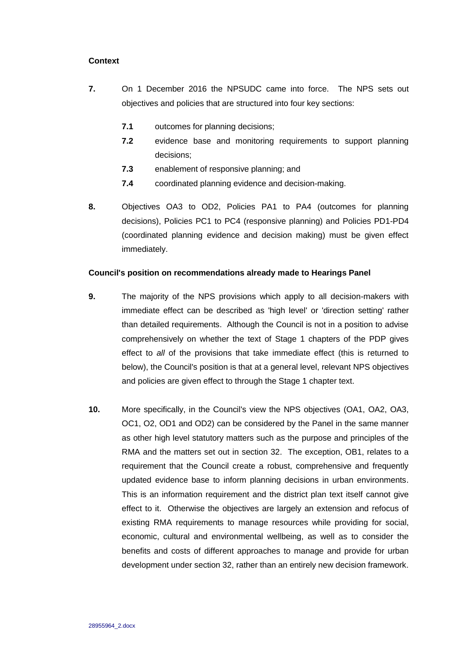## **Context**

- **7.** On 1 December 2016 the NPSUDC came into force. The NPS sets out objectives and policies that are structured into four key sections:
	- **7.1** outcomes for planning decisions;
	- **7.2** evidence base and monitoring requirements to support planning decisions;
	- **7.3** enablement of responsive planning; and
	- **7.4** coordinated planning evidence and decision-making.
- **8.** Objectives OA3 to OD2, Policies PA1 to PA4 (outcomes for planning decisions), Policies PC1 to PC4 (responsive planning) and Policies PD1-PD4 (coordinated planning evidence and decision making) must be given effect immediately.

#### **Council's position on recommendations already made to Hearings Panel**

- **9.** The majority of the NPS provisions which apply to all decision-makers with immediate effect can be described as 'high level' or 'direction setting' rather than detailed requirements. Although the Council is not in a position to advise comprehensively on whether the text of Stage 1 chapters of the PDP gives effect to *all* of the provisions that take immediate effect (this is returned to below), the Council's position is that at a general level, relevant NPS objectives and policies are given effect to through the Stage 1 chapter text.
- **10.** More specifically, in the Council's view the NPS objectives (OA1, OA2, OA3, OC1, O2, OD1 and OD2) can be considered by the Panel in the same manner as other high level statutory matters such as the purpose and principles of the RMA and the matters set out in section 32. The exception, OB1, relates to a requirement that the Council create a robust, comprehensive and frequently updated evidence base to inform planning decisions in urban environments. This is an information requirement and the district plan text itself cannot give effect to it. Otherwise the objectives are largely an extension and refocus of existing RMA requirements to manage resources while providing for social, economic, cultural and environmental wellbeing, as well as to consider the benefits and costs of different approaches to manage and provide for urban development under section 32, rather than an entirely new decision framework.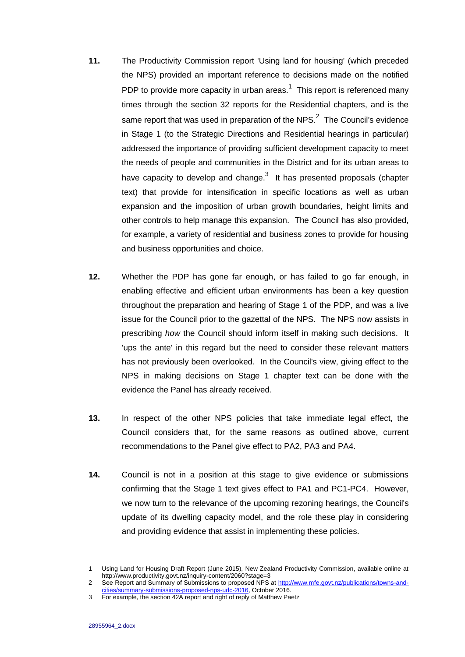- **11.** The Productivity Commission report 'Using land for housing' (which preceded the NPS) provided an important reference to decisions made on the notified PDP to provide more capacity in urban areas. $1$  This report is referenced many times through the section 32 reports for the Residential chapters, and is the same report that was used in preparation of the NPS. $^2$  The Council's evidence in Stage 1 (to the Strategic Directions and Residential hearings in particular) addressed the importance of providing sufficient development capacity to meet the needs of people and communities in the District and for its urban areas to have capacity to develop and change. $3$  It has presented proposals (chapter text) that provide for intensification in specific locations as well as urban expansion and the imposition of urban growth boundaries, height limits and other controls to help manage this expansion. The Council has also provided, for example, a variety of residential and business zones to provide for housing and business opportunities and choice.
- **12.** Whether the PDP has gone far enough, or has failed to go far enough, in enabling effective and efficient urban environments has been a key question throughout the preparation and hearing of Stage 1 of the PDP, and was a live issue for the Council prior to the gazettal of the NPS. The NPS now assists in prescribing *how* the Council should inform itself in making such decisions. It 'ups the ante' in this regard but the need to consider these relevant matters has not previously been overlooked. In the Council's view, giving effect to the NPS in making decisions on Stage 1 chapter text can be done with the evidence the Panel has already received.
- **13.** In respect of the other NPS policies that take immediate legal effect, the Council considers that, for the same reasons as outlined above, current recommendations to the Panel give effect to PA2, PA3 and PA4.
- **14.** Council is not in a position at this stage to give evidence or submissions confirming that the Stage 1 text gives effect to PA1 and PC1-PC4. However, we now turn to the relevance of the upcoming rezoning hearings, the Council's update of its dwelling capacity model, and the role these play in considering and providing evidence that assist in implementing these policies.

<sup>1</sup> Using Land for Housing Draft Report (June 2015), New Zealand Productivity Commission, available online at http://www.productivity.govt.nz/inquiry-content/2060?stage=3

<sup>2</sup> See Report and Summary of Submissions to proposed NPS at [http://www.mfe.govt.nz/publications/towns-and](http://www.mfe.govt.nz/publications/towns-and-cities/summary-submissions-proposed-nps-udc-2016)[cities/summary-submissions-proposed-nps-udc-2016,](http://www.mfe.govt.nz/publications/towns-and-cities/summary-submissions-proposed-nps-udc-2016) October 2016.

<sup>3</sup> For example, the section 42A report and right of reply of Matthew Paetz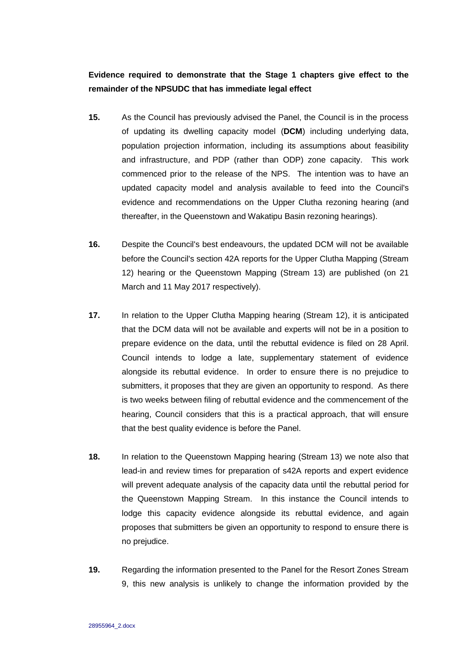# **Evidence required to demonstrate that the Stage 1 chapters give effect to the remainder of the NPSUDC that has immediate legal effect**

- **15.** As the Council has previously advised the Panel, the Council is in the process of updating its dwelling capacity model (**DCM**) including underlying data, population projection information, including its assumptions about feasibility and infrastructure, and PDP (rather than ODP) zone capacity. This work commenced prior to the release of the NPS. The intention was to have an updated capacity model and analysis available to feed into the Council's evidence and recommendations on the Upper Clutha rezoning hearing (and thereafter, in the Queenstown and Wakatipu Basin rezoning hearings).
- **16.** Despite the Council's best endeavours, the updated DCM will not be available before the Council's section 42A reports for the Upper Clutha Mapping (Stream 12) hearing or the Queenstown Mapping (Stream 13) are published (on 21 March and 11 May 2017 respectively).
- **17.** In relation to the Upper Clutha Mapping hearing (Stream 12), it is anticipated that the DCM data will not be available and experts will not be in a position to prepare evidence on the data, until the rebuttal evidence is filed on 28 April. Council intends to lodge a late, supplementary statement of evidence alongside its rebuttal evidence. In order to ensure there is no prejudice to submitters, it proposes that they are given an opportunity to respond. As there is two weeks between filing of rebuttal evidence and the commencement of the hearing, Council considers that this is a practical approach, that will ensure that the best quality evidence is before the Panel.
- **18.** In relation to the Queenstown Mapping hearing (Stream 13) we note also that lead-in and review times for preparation of s42A reports and expert evidence will prevent adequate analysis of the capacity data until the rebuttal period for the Queenstown Mapping Stream. In this instance the Council intends to lodge this capacity evidence alongside its rebuttal evidence, and again proposes that submitters be given an opportunity to respond to ensure there is no prejudice.
- **19.** Regarding the information presented to the Panel for the Resort Zones Stream 9, this new analysis is unlikely to change the information provided by the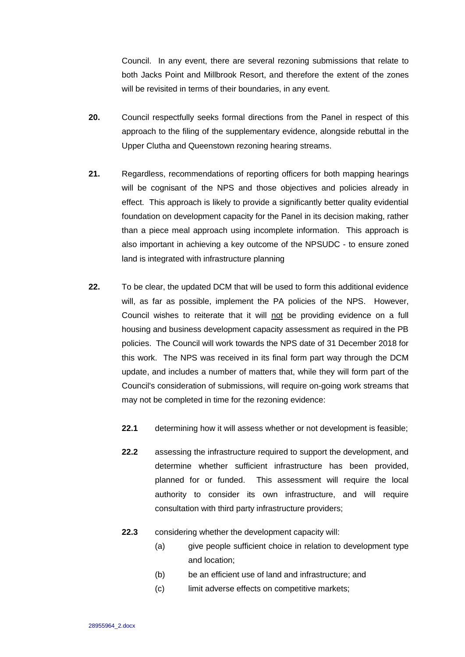Council. In any event, there are several rezoning submissions that relate to both Jacks Point and Millbrook Resort, and therefore the extent of the zones will be revisited in terms of their boundaries, in any event.

- **20.** Council respectfully seeks formal directions from the Panel in respect of this approach to the filing of the supplementary evidence, alongside rebuttal in the Upper Clutha and Queenstown rezoning hearing streams.
- **21.** Regardless, recommendations of reporting officers for both mapping hearings will be cognisant of the NPS and those objectives and policies already in effect. This approach is likely to provide a significantly better quality evidential foundation on development capacity for the Panel in its decision making, rather than a piece meal approach using incomplete information. This approach is also important in achieving a key outcome of the NPSUDC - to ensure zoned land is integrated with infrastructure planning
- **22.** To be clear, the updated DCM that will be used to form this additional evidence will, as far as possible, implement the PA policies of the NPS. However, Council wishes to reiterate that it will not be providing evidence on a full housing and business development capacity assessment as required in the PB policies. The Council will work towards the NPS date of 31 December 2018 for this work. The NPS was received in its final form part way through the DCM update, and includes a number of matters that, while they will form part of the Council's consideration of submissions, will require on-going work streams that may not be completed in time for the rezoning evidence:
	- **22.1** determining how it will assess whether or not development is feasible;
	- **22.2** assessing the infrastructure required to support the development, and determine whether sufficient infrastructure has been provided, planned for or funded. This assessment will require the local authority to consider its own infrastructure, and will require consultation with third party infrastructure providers;
	- **22.3** considering whether the development capacity will:
		- (a) give people sufficient choice in relation to development type and location;
		- (b) be an efficient use of land and infrastructure; and
		- (c) limit adverse effects on competitive markets;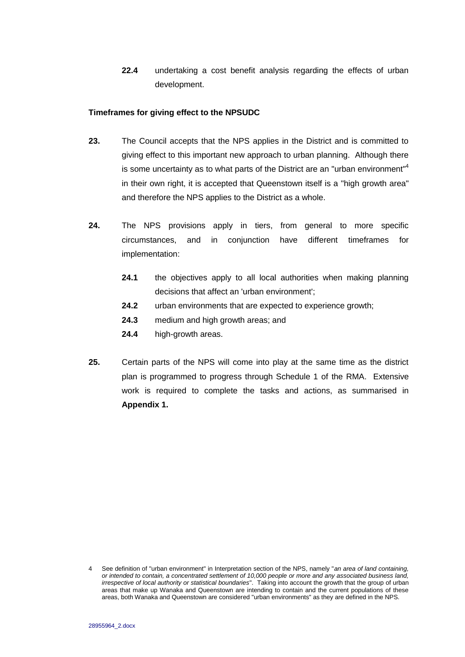**22.4** undertaking a cost benefit analysis regarding the effects of urban development.

### **Timeframes for giving effect to the NPSUDC**

- **23.** The Council accepts that the NPS applies in the District and is committed to giving effect to this important new approach to urban planning. Although there is some uncertainty as to what parts of the District are an "urban environment"<sup>4</sup> in their own right, it is accepted that Queenstown itself is a "high growth area" and therefore the NPS applies to the District as a whole.
- **24.** The NPS provisions apply in tiers, from general to more specific circumstances, and in conjunction have different timeframes for implementation:
	- **24.1** the objectives apply to all local authorities when making planning decisions that affect an 'urban environment';
	- **24.2** urban environments that are expected to experience growth;
	- **24.3** medium and high growth areas; and
	- **24.4** high-growth areas.
- **25.** Certain parts of the NPS will come into play at the same time as the district plan is programmed to progress through Schedule 1 of the RMA. Extensive work is required to complete the tasks and actions, as summarised in **Appendix 1.**

<sup>4</sup> See definition of "urban environment" in Interpretation section of the NPS, namely "*an area of land containing, or intended to contain, a concentrated settlement of 10,000 people or more and any associated business land, irrespective of local authority or statistical boundaries*". Taking into account the growth that the group of urban areas that make up Wanaka and Queenstown are intending to contain and the current populations of these areas, both Wanaka and Queenstown are considered "urban environments" as they are defined in the NPS.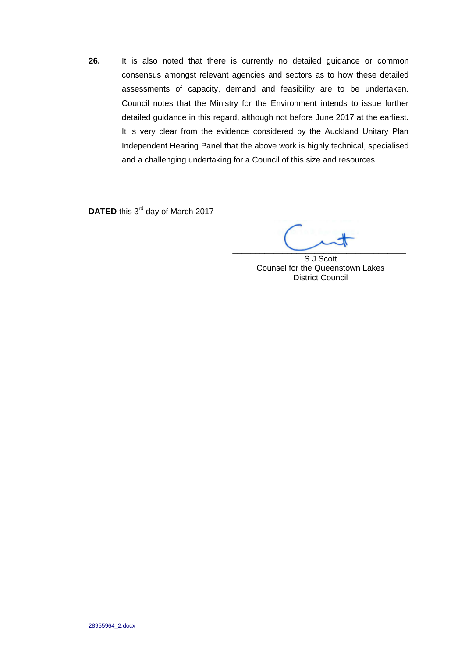**26.** It is also noted that there is currently no detailed guidance or common consensus amongst relevant agencies and sectors as to how these detailed assessments of capacity, demand and feasibility are to be undertaken. Council notes that the Ministry for the Environment intends to issue further detailed guidance in this regard, although not before June 2017 at the earliest. It is very clear from the evidence considered by the Auckland Unitary Plan Independent Hearing Panel that the above work is highly technical, specialised and a challenging undertaking for a Council of this size and resources.

DATED this 3<sup>rd</sup> day of March 2017

 $\overline{\phantom{a}}$ 

S J Scott Counsel for the Queenstown Lakes District Council